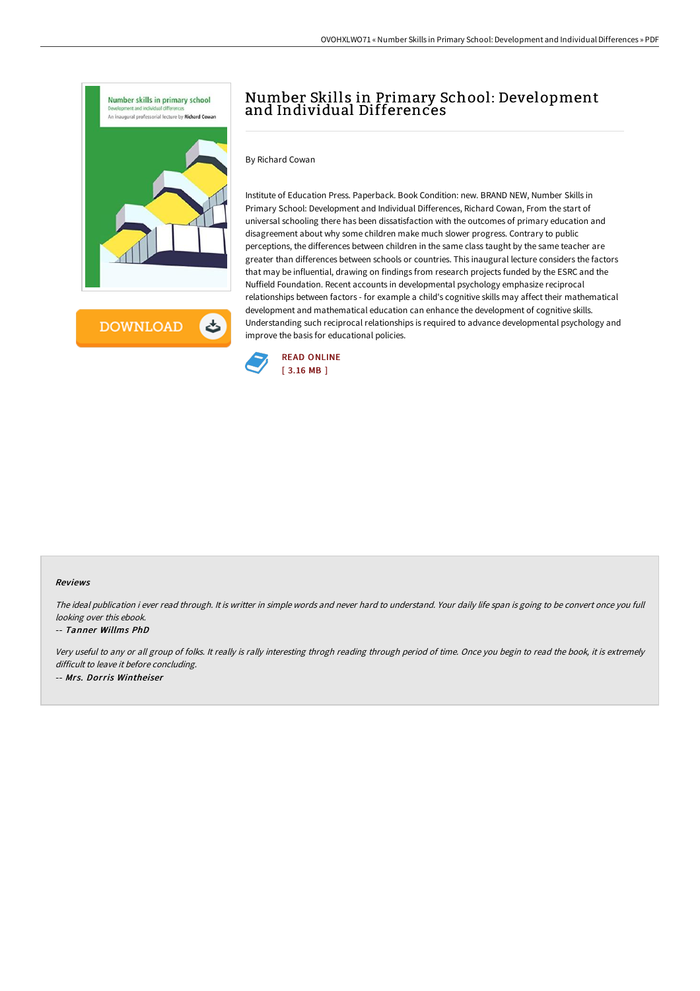

**DOWNLOAD** ٹ

# Number Skills in Primary School: Development and Individual Differences

By Richard Cowan

Institute of Education Press. Paperback. Book Condition: new. BRAND NEW, Number Skills in Primary School: Development and Individual Differences, Richard Cowan, From the start of universal schooling there has been dissatisfaction with the outcomes of primary education and disagreement about why some children make much slower progress. Contrary to public perceptions, the differences between children in the same class taught by the same teacher are greater than differences between schools or countries. This inaugural lecture considers the factors that may be influential, drawing on findings from research projects funded by the ESRC and the Nuffield Foundation. Recent accounts in developmental psychology emphasize reciprocal relationships between factors - for example a child's cognitive skills may affect their mathematical development and mathematical education can enhance the development of cognitive skills. Understanding such reciprocal relationships is required to advance developmental psychology and improve the basis for educational policies.



#### Reviews

The ideal publication i ever read through. It is writter in simple words and never hard to understand. Your daily life span is going to be convert once you full looking over this ebook.

#### -- Tanner Willms PhD

Very useful to any or all group of folks. It really is rally interesting throgh reading through period of time. Once you begin to read the book, it is extremely difficult to leave it before concluding. -- Mrs. Dorris Wintheiser